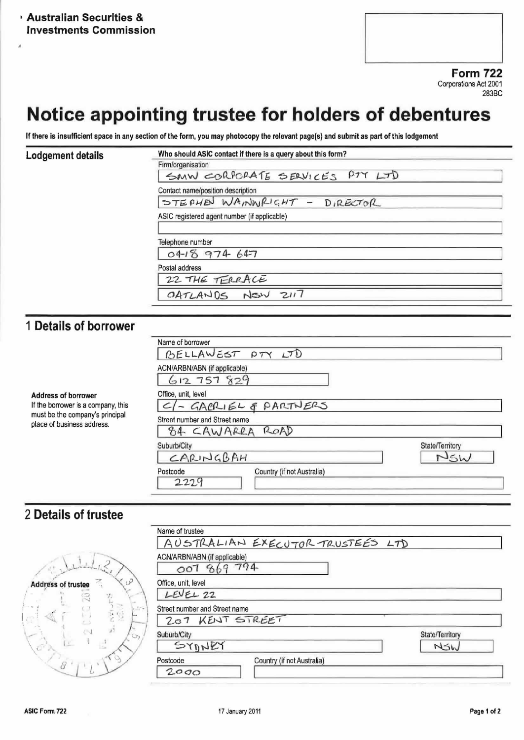**Form 722** Corporations Act 2001 283BC

# Notice appointing trustee for holders of debentures

If there is insufficient space in any section of the form, you may photocopy the relevant page(s) and submit as part of this lodgement

#### **Lodgement details**

ä

| Firm/organisation                            |                                |  |  |
|----------------------------------------------|--------------------------------|--|--|
|                                              | SMW CORPORATE SERVICES PTY LTD |  |  |
| Contact name/position description            |                                |  |  |
|                                              | STEPHEN WAININRIGHT - DIRECTOR |  |  |
| ASIC registered agent number (if applicable) |                                |  |  |
|                                              |                                |  |  |
|                                              |                                |  |  |
| Telephone number                             |                                |  |  |
|                                              | 0418974647                     |  |  |
| Postal address                               |                                |  |  |
|                                              | 22 THE TERRACE                 |  |  |

## 1 Details of borrower

| <b>Address of borrower</b><br>If the borrower is a company, this<br>must be the company's principal<br>place of business address. | Name of borrower<br>BELLAWEST PTY LTD                                                |                        |
|-----------------------------------------------------------------------------------------------------------------------------------|--------------------------------------------------------------------------------------|------------------------|
|                                                                                                                                   | ACN/ARBN/ABN (if applicable)<br>612757829                                            |                        |
|                                                                                                                                   | Office, unit, level<br>- GABLIEL & PARTNERS<br>Street number and Street name<br>ROAD |                        |
|                                                                                                                                   | 84 CAWARRA<br>Suburb/City<br>CARINGBAH<br>Country (if not Australia)<br>Postcode     | State/Territory<br>NSh |
|                                                                                                                                   | 2229                                                                                 |                        |

### 2 Details of trustee

|                                     | Name of trustee                             |                 |  |  |
|-------------------------------------|---------------------------------------------|-----------------|--|--|
|                                     | AUSTRALIAN EXECUTOR TRUSTEES LTD            |                 |  |  |
|                                     | ACN/ARBN/ABN (if applicable)<br>007 869 794 |                 |  |  |
| $\mathcal{P}$<br>Address of trustee | Office, unit, level                         |                 |  |  |
| 20                                  | LEVEL 22                                    |                 |  |  |
| $\sim 10$                           | Street number and Street name               |                 |  |  |
| 통영<br>đ.                            | 207 KENT STREET                             |                 |  |  |
| $C_{\mathcal{F}_{I}}$               | Suburb/City                                 | State/Territory |  |  |
| Ć.                                  | SYONEY                                      | NSW             |  |  |
|                                     | Country (if not Australia)<br>Postcode      |                 |  |  |
|                                     | 2000                                        |                 |  |  |
|                                     |                                             |                 |  |  |